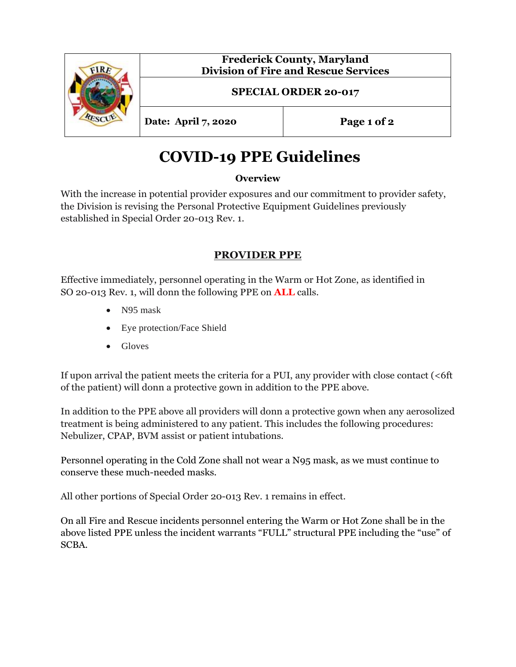|  | <b>Frederick County, Maryland</b><br><b>Division of Fire and Rescue Services</b> |             |
|--|----------------------------------------------------------------------------------|-------------|
|  | <b>SPECIAL ORDER 20-017</b>                                                      |             |
|  | Date: April 7, 2020                                                              | Page 1 of 2 |

# **COVID-19 PPE Guidelines**

## **Overview**

With the increase in potential provider exposures and our commitment to provider safety, the Division is revising the Personal Protective Equipment Guidelines previously established in Special Order 20-013 Rev. 1.

# **PROVIDER PPE**

Effective immediately, personnel operating in the Warm or Hot Zone, as identified in SO 20-013 Rev. 1, will donn the following PPE on **ALL** calls.

- N95 mask
- Eye protection/Face Shield
- Gloves

If upon arrival the patient meets the criteria for a PUI, any provider with close contact (<6ft of the patient) will donn a protective gown in addition to the PPE above.

In addition to the PPE above all providers will donn a protective gown when any aerosolized treatment is being administered to any patient. This includes the following procedures: Nebulizer, CPAP, BVM assist or patient intubations.

Personnel operating in the Cold Zone shall not wear a N95 mask, as we must continue to conserve these much-needed masks.

All other portions of Special Order 20-013 Rev. 1 remains in effect.

On all Fire and Rescue incidents personnel entering the Warm or Hot Zone shall be in the above listed PPE unless the incident warrants "FULL" structural PPE including the "use" of SCBA.